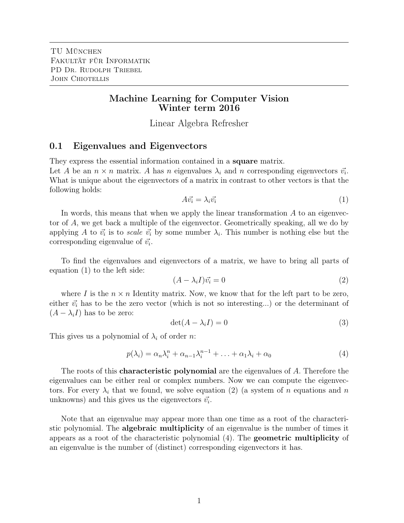# Machine Learning for Computer Vision Winter term 2016

Linear Algebra Refresher

#### 0.1 Eigenvalues and Eigenvectors

They express the essential information contained in a **square** matrix.

Let A be an  $n \times n$  matrix. A has n eigenvalues  $\lambda_i$  and n corresponding eigenvectors  $\vec{v_i}$ . What is unique about the eigenvectors of a matrix in contrast to other vectors is that the following holds:

$$
A\vec{v_i} = \lambda_i \vec{v_i} \tag{1}
$$

In words, this means that when we apply the linear transformation  $A$  to an eigenvector of A, we get back a multiple of the eigenvector. Geometrically speaking, all we do by applying A to  $\vec{v_i}$  is to scale  $\vec{v_i}$  by some number  $\lambda_i$ . This number is nothing else but the corresponding eigenvalue of  $\vec{v_i}$ .

To find the eigenvalues and eigenvectors of a matrix, we have to bring all parts of equation (1) to the left side:

$$
(A - \lambda_i I)\vec{v_i} = 0\tag{2}
$$

where I is the  $n \times n$  Identity matrix. Now, we know that for the left part to be zero, either  $\vec{v_i}$  has to be the zero vector (which is not so interesting...) or the determinant of  $(A - \lambda_i I)$  has to be zero:

$$
\det(A - \lambda_i I) = 0 \tag{3}
$$

This gives us a polynomial of  $\lambda_i$  of order n:

$$
p(\lambda_i) = \alpha_n \lambda_i^n + \alpha_{n-1} \lambda_i^{n-1} + \ldots + \alpha_1 \lambda_i + \alpha_0 \tag{4}
$$

The roots of this **characteristic polynomial** are the eigenvalues of A. Therefore the eigenvalues can be either real or complex numbers. Now we can compute the eigenvectors. For every  $\lambda_i$  that we found, we solve equation (2) (a system of n equations and n unknowns) and this gives us the eigenvectors  $\vec{v_i}$ .

Note that an eigenvalue may appear more than one time as a root of the characteristic polynomial. The algebraic multiplicity of an eigenvalue is the number of times it appears as a root of the characteristic polynomial (4). The geometric multiplicity of an eigenvalue is the number of (distinct) corresponding eigenvectors it has.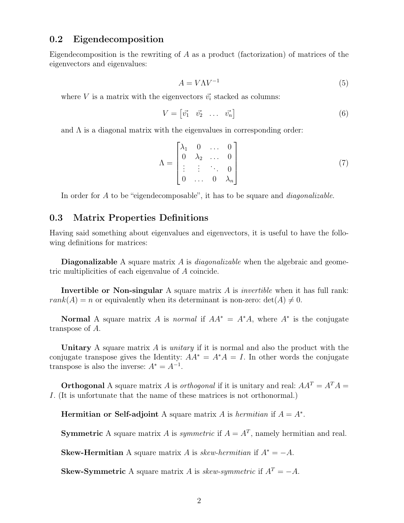#### 0.2 Eigendecomposition

Eigendecomposition is the rewriting of  $A$  as a product (factorization) of matrices of the eigenvectors and eigenvalues:

$$
A = V\Lambda V^{-1} \tag{5}
$$

where V is a matrix with the eigenvectors  $\vec{v_i}$  stacked as columns:

$$
V = \begin{bmatrix} \vec{v_1} & \vec{v_2} & \dots & \vec{v_n} \end{bmatrix} \tag{6}
$$

and  $\Lambda$  is a diagonal matrix with the eigenvalues in corresponding order:

$$
\Lambda = \begin{bmatrix} \lambda_1 & 0 & \dots & 0 \\ 0 & \lambda_2 & \dots & 0 \\ \vdots & \vdots & \ddots & 0 \\ 0 & \dots & 0 & \lambda_n \end{bmatrix}
$$
 (7)

In order for A to be "eigendecomposable", it has to be square and *diagonalizable*.

## 0.3 Matrix Properties Definitions

Having said something about eigenvalues and eigenvectors, it is useful to have the following definitions for matrices:

**Diagonalizable** A square matrix A is *diagonalizable* when the algebraic and geometric multiplicities of each eigenvalue of A coincide.

**Invertible or Non-singular** A square matrix  $\vec{A}$  is *invertible* when it has full rank:  $rank(A) = n$  or equivalently when its determinant is non-zero:  $det(A) \neq 0$ .

**Normal** A square matrix A is *normal* if  $AA^* = A^*A$ , where  $A^*$  is the conjugate transpose of A.

Unitary A square matrix  $\tilde{A}$  is *unitary* if it is normal and also the product with the conjugate transpose gives the Identity:  $AA^* = A^*A = I$ . In other words the conjugate transpose is also the inverse:  $A^* = A^{-1}$ .

**Orthogonal** A square matrix A is *orthogonal* if it is unitary and real:  $AA^T = A^T A$ I. (It is unfortunate that the name of these matrices is not orthonormal.)

Hermitian or Self-adjoint A square matrix A is hermitian if  $A = A^*$ .

**Symmetric** A square matrix A is *symmetric* if  $A = A<sup>T</sup>$ , namely hermitian and real.

**Skew-Hermitian** A square matrix A is skew-hermitian if  $A^* = -A$ .

**Skew-Symmetric** A square matrix A is skew-symmetric if  $A^T = -A$ .